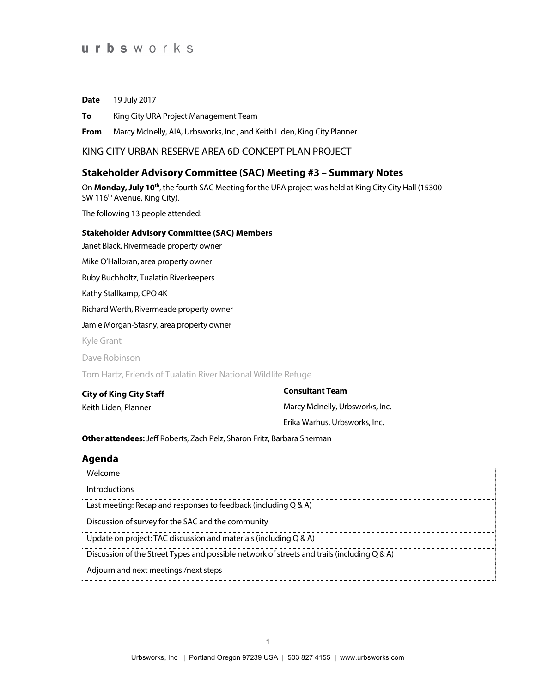**Date** 19 July 2017

**To** King City URA Project Management Team

**From** Marcy McInelly, AIA, Urbsworks, Inc., and Keith Liden, King City Planner

KING CITY URBAN RESERVE AREA 6D CONCEPT PLAN PROJECT

### **Stakeholder Advisory Committee (SAC) Meeting #3 – Summary Notes**

On **Monday, July 10th**, the fourth SAC Meeting for the URA project was held at King City City Hall (15300 SW 116<sup>th</sup> Avenue, King City).

The following 13 people attended:

### **Stakeholder Advisory Committee (SAC) Members**

Janet Black, Rivermeade property owner

Mike O'Halloran, area property owner

Ruby Buchholtz, Tualatin Riverkeepers

Kathy Stallkamp, CPO 4K

Richard Werth, Rivermeade property owner

Jamie Morgan-Stasny, area property owner

Kyle Grant

Dave Robinson

Tom Hartz, Friends of Tualatin River National Wildlife Refuge

**City of King City Staff** Keith Liden, Planner

**Consultant Team** Marcy McInelly, Urbsworks, Inc. Erika Warhus, Urbsworks, Inc.

**Other attendees:**Jeff Roberts, Zach Pelz, Sharon Fritz, Barbara Sherman

### **Agenda**

| Welcome                                                                                     |  |
|---------------------------------------------------------------------------------------------|--|
| Introductions                                                                               |  |
| Last meeting: Recap and responses to feedback (including Q & A)                             |  |
| Discussion of survey for the SAC and the community                                          |  |
| Update on project: TAC discussion and materials (including Q & A)                           |  |
| Discussion of the Street Types and possible network of streets and trails (including Q & A) |  |
| Adjourn and next meetings /next steps                                                       |  |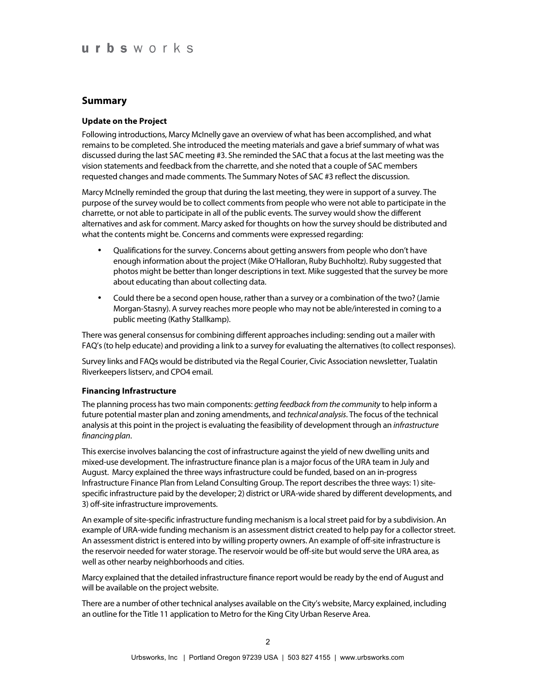### **Summary**

### **Update on the Project**

Following introductions, Marcy McInelly gave an overview of what has been accomplished, and what remains to be completed. She introduced the meeting materials and gave a brief summary of what was discussed during the last SAC meeting #3. She reminded the SAC that a focus at the last meeting was the vision statements and feedback from the charrette, and she noted that a couple of SAC members requested changes and made comments. The Summary Notes of SAC #3 reflect the discussion.

Marcy McInelly reminded the group that during the last meeting, they were in support of a survey. The purpose of the survey would be to collect comments from people who were not able to participate in the charrette, or not able to participate in all of the public events. The survey would show the different alternatives and ask for comment. Marcy asked for thoughts on how the survey should be distributed and what the contents might be. Concerns and comments were expressed regarding:

- Qualifications for the survey. Concerns about getting answers from people who don't have enough information about the project (Mike O'Halloran, Ruby Buchholtz). Ruby suggested that photos might be better than longer descriptions in text. Mike suggested that the survey be more about educating than about collecting data.
- Could there be a second open house, rather than a survey or a combination of the two? (Jamie Morgan-Stasny). A survey reaches more people who may not be able/interested in coming to a public meeting (Kathy Stallkamp).

There was general consensus for combining different approaches including: sending out a mailer with FAQ's (to help educate) and providing a link to a survey for evaluating the alternatives (to collect responses).

Survey links and FAQs would be distributed via the Regal Courier, Civic Association newsletter, Tualatin Riverkeepers listserv, and CPO4 email.

#### **Financing Infrastructure**

The planning process has two main components: *getting feedback from the community* to help inform a future potential master plan and zoning amendments, and *technical analysis*. The focus of the technical analysis at this point in the project is evaluating the feasibility of development through an *infrastructure financing plan*.

This exercise involves balancing the cost of infrastructure against the yield of new dwelling units and mixed-use development. The infrastructure finance plan is a major focus of the URA team in July and August. Marcy explained the three ways infrastructure could be funded, based on an in-progress Infrastructure Finance Plan from Leland Consulting Group. The report describes the three ways: 1) sitespecific infrastructure paid by the developer; 2) district or URA-wide shared by different developments, and 3) off-site infrastructure improvements.

An example of site-specific infrastructure funding mechanism is a local street paid for by a subdivision. An example of URA-wide funding mechanism is an assessment district created to help pay for a collector street. An assessment district is entered into by willing property owners. An example of off-site infrastructure is the reservoir needed for water storage. The reservoir would be off-site but would serve the URA area, as well as other nearby neighborhoods and cities.

Marcy explained that the detailed infrastructure finance report would be ready by the end of August and will be available on the project website.

There are a number of other technical analyses available on the City's website, Marcy explained, including an outline for the Title 11 application to Metro for the King City Urban Reserve Area.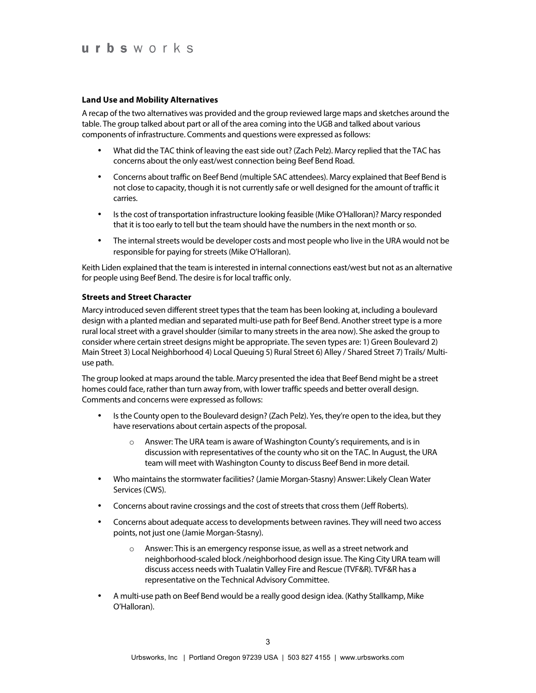#### **Land Use and Mobility Alternatives**

A recap of the two alternatives was provided and the group reviewed large maps and sketches around the table. The group talked about part or all of the area coming into the UGB and talked about various components of infrastructure. Comments and questions were expressed as follows:

- What did the TAC think of leaving the east side out? (Zach Pelz). Marcy replied that the TAC has concerns about the only east/west connection being Beef Bend Road.
- Concerns about traffic on Beef Bend (multiple SAC attendees). Marcy explained that Beef Bend is not close to capacity, though it is not currently safe or well designed for the amount of traffic it carries.
- Is the cost of transportation infrastructure looking feasible (Mike O'Halloran)? Marcy responded that it is too early to tell but the team should have the numbers in the next month or so.
- The internal streets would be developer costs and most people who live in the URA would not be responsible for paying for streets (Mike O'Halloran).

Keith Liden explained that the team is interested in internal connections east/west but not as an alternative for people using Beef Bend. The desire is for local traffic only.

#### **Streets and Street Character**

Marcy introduced seven different street types that the team has been looking at, including a boulevard design with a planted median and separated multi-use path for Beef Bend. Another street type is a more rural local street with a gravel shoulder (similar to many streets in the area now). She asked the group to consider where certain street designs might be appropriate. The seven types are: 1) Green Boulevard 2) Main Street 3) Local Neighborhood 4) Local Queuing 5) Rural Street 6) Alley / Shared Street 7) Trails/ Multiuse path.

The group looked at maps around the table. Marcy presented the idea that Beef Bend might be a street homes could face, rather than turn away from, with lower traffic speeds and better overall design. Comments and concerns were expressed as follows:

- Is the County open to the Boulevard design? (Zach Pelz). Yes, they're open to the idea, but they have reservations about certain aspects of the proposal.
	- o Answer: The URA team is aware of Washington County's requirements, and is in discussion with representatives of the county who sit on the TAC. In August, the URA team will meet with Washington County to discuss Beef Bend in more detail.
- Who maintains the stormwater facilities? (Jamie Morgan-Stasny) Answer: Likely Clean Water Services (CWS).
- Concerns about ravine crossings and the cost of streets that cross them (Jeff Roberts).
- Concerns about adequate access to developments between ravines. They will need two access points, not just one (Jamie Morgan-Stasny).
	- o Answer: This is an emergency response issue, as well as a street network and neighborhood-scaled block /neighborhood design issue. The King City URA team will discuss access needs with Tualatin Valley Fire and Rescue (TVF&R). TVF&R has a representative on the Technical Advisory Committee.
- A multi-use path on Beef Bend would be a really good design idea. (Kathy Stallkamp, Mike O'Halloran).